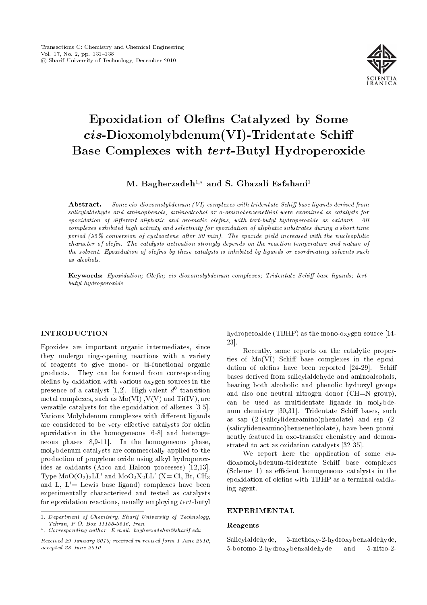

# Epoxidation of Olens Catalyzed by Some cis-Dioxomolybdenum(VI)-Tridentate Schi Base Complexes with tert-Butyl Hydroperoxide

M. Bagherzadeh<sup>1,\*</sup> and S. Ghazali Esfahani<sup>1</sup>

**Abstract.** Some cis-dioxomolybdenum (VI) complexes with tridentate Schiff base ligands derived from salicylaldehyde and aminophenols, aminoalcohol or o-aminobenzenethiol were examined as catalysts for epoxidation of different aliphatic and aromatic olefins, with tert-butyl hydroperoxide as oxidant. All complexes exhibited high activity and selectivity for epoxidation of aliphatic substrates during a short time period (95% conversion of cyclooctene after 30 min). The epoxide yield increased with the nucleophilic character of olefin. The catalysts activation strongly depends on the reaction temperature and nature of the solvent. Epoxidation of olefins by these catalysts is inhibited by ligands or coordinating solvents such as alcohols.

Keywords: Epoxidation; Olefin; cis-dioxomolybdenum complexes; Tridentate Schiff base ligands; tertbutyl hydroperoxide.

## INTRODUCTION

Epoxides are important organic intermediates, since they undergo ring-opening reactions with a variety of reagents to give mono- or bi-functional organic products. They can be formed from corresponding olens by oxidation with various oxygen sources in the presence of a catalyst [1,2]. High-valent  $d^0$  transition metal complexes, such as  $Mo(VI)$ ,  $V(V)$  and  $Ti(IV)$ , are versatile catalysts for the epoxidation of alkenes [3-5]. Various Molybdenum complexes with different ligands are considered to be very effective catalysts for olefin epoxidation in the homogeneous [6-8] and heterogeneous phases [8,9-11]. In the homogeneous phase, molybdenum catalysts are commercially applied to the production of propylene oxide using alkyl hydroperoxides as oxidants (Arco and Halcon processes) [12,13]. Type  $\rm MoO(O_2)_2LL'$  and  $\rm MoO_2X_2LL'$  (X= Cl, Br, CH<sub>3</sub> and L,  $L'$  Lewis base ligand) complexes have been experimentally characterized and tested as catalysts for epoxidation reactions, usually employing tert-butyl

hydroperoxide (TBHP) as the mono-oxygen source [14- 23].

Recently, some reports on the catalytic properties of  $Mo(VI)$  Schiff base complexes in the epoxidation of olefins have been reported  $[24-29]$ . Schiff bases derived from salicylaldehyde and aminoalcohols, bearing both alcoholic and phenolic hydroxyl groups and also one neutral nitrogen donor (CH=N group), can be used as multidentate ligands in molybdenum chemistry  $[30,31]$ . Tridentate Schiff bases, such as sap (2-(salicylideneamino)phenolate) and ssp (2- (salicylideneamino)benzenethiolate), have been prominently featured in oxo-transfer chemistry and demonstrated to act as oxidation catalysts [32-35].

We report here the application of some *cis*dioxomolybdenum-tridentate Schiff base complexes (Scheme 1) as efficient homogeneous catalysts in the epoxidation of olefins with TBHP as a terminal oxidizing agent.

## EXPERIMENTAL

#### Reagents

Salicylaldehyde, 3-methoxy-2-hydroxybenzaldehyde, 5-boromo-2-hydroxybenzaldehyde and 5-nitro-2-

<sup>1.</sup> Department of Chemistry, Sharif University of Technology, Tehran, P.O. Box 11155-3516, Iran.

<sup>\*.</sup> Corresponding author. E-mail: bagherzadehm@sharif.edu

Received 29 January 2010; received in revised form 1 June 2010; accepted 28 June 2010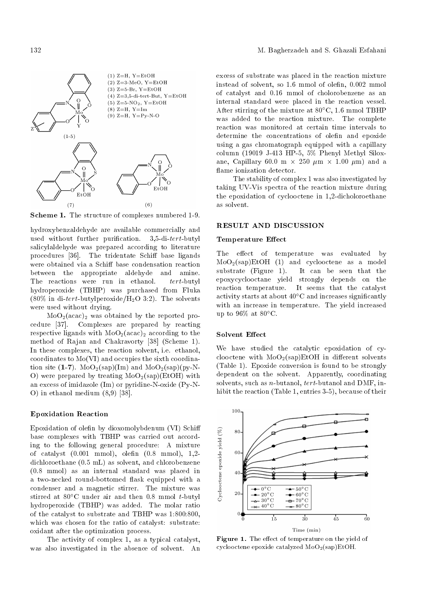

Scheme 1. The structure of complexes numbered 1-9.

hydroxybenzaldehyde are available commercially and used without further purification. 3,5-di-tert-butyl salicylaldehyde was prepared according to literature procedures [36]. The tridentate Schiff base ligands were obtained via a Schiff base condensation reaction between the appropriate aldehyde and amine. The reactions were run in ethanol. tert-butyl hydroperoxide (TBHP) was purchased from Fluka (80% in di-tert-butylperoxide/H<sub>2</sub>O 3:2). The solvents were used without drying.

 $MoO<sub>2</sub>(acac)<sub>2</sub>$  was obtained by the reported procedure [37]. Complexes are prepared by reacting respective ligands with  $MoO<sub>2</sub>(acac)<sub>2</sub>$  according to the method of Rajan and Chakravorty [38] (Scheme 1). In these complexes, the reaction solvent, i.e. ethanol, coordinates to Mo(VI) and occupies the sixth coordination site  $(1-7)$ . MoO<sub>2</sub>(sap)(Im) and MoO<sub>2</sub>(sap)(py-N-O) were prepared by treating  $MoO<sub>2</sub>(\text{sap})(EtOH)$  with an excess of imidazole (Im) or pyridine-N-oxide (Py-N-O) in ethanol medium (8,9) [38].

# Epoxidation Reaction

Epoxidation of olefin by dioxomolybdenum (VI) Schiff base complexes with TBHP was carried out according to the following general procedure: A mixture of catalyst  $(0.001 \text{ mmol})$ , olefin  $(0.8 \text{ mmol})$ , 1,2dichloroethane (0.5 mL) as solvent, and chlorobenzene (0.8 mmol) as an internal standard was placed in a two-necked round-bottomed flask equipped with a condenser and a magnetic stirrer. The mixture was stirred at  $80^{\circ}$ C under air and then 0.8 mmol t-butyl hydroperoxide (TBHP) was added. The molar ratio of the catalyst to substrate and TBHP was 1:800:800, which was chosen for the ratio of catalyst: substrate: oxidant after the optimization process.

The activity of complex 1, as a typical catalyst, was also investigated in the absence of solvent. An excess of substrate was placed in the reaction mixture instead of solvent, so 1.6 mmol of olen, 0.002 mmol of catalyst and 0.16 mmol of cholorobenzene as an internal standard were placed in the reaction vessel. After stirring of the mixture at  $80^{\circ}$ C, 1.6 mmol TBHP was added to the reaction mixture. The complete reaction was monitored at certain time intervals to determine the concentrations of olefin and epoxide using a gas chromatograph equipped with a capillary column (19019 J-413 HP-5, 5% Phenyl Methyl Siloxane, Capillary 60.0 m  $\times$  250  $\mu$ m  $\times$  1.00  $\mu$ m) and a flame ionization detector.

The stability of complex 1 was also investigated by taking UV-Vis spectra of the reaction mixture during the epoxidation of cyclooctene in 1,2-dicholoroethane as solvent.

#### RESULT AND DISCUSSION

## Temperature Effect

The effect of temperature was evaluated by  $MoO<sub>2</sub>(sap)EtOH$  (1) and cyclooctene as a model<br>substrate (Figure 1). It can be seen that the It can be seen that the epoxycyclooctane yield strongly depends on the reaction temperature. It seems that the catalyst activity starts at about  $40^{\circ}$ C and increases significantly with an increase in temperature. The yield increased up to  $96\%$  at  $80^{\circ}$ C.

#### Solvent Effect

We have studied the catalytic epoxidation of cyclooctene with  $MoO<sub>2</sub>(sap)EtOH$  in different solvents (Table 1). Epoxide conversion is found to be strongly dependent on the solvent. Apparently, coordinating solvents, such as *n*-butanol,  $tert$ -butanol and DMF, inhibit the reaction (Table 1, entries 3-5), because of their

100 Cyclooctene epoxide yield  $(\%)$ 80 60  $4($  $\rightarrow$  50 $^{\circ}$ C  $= 0^{\circ}$ C 20  $-20^{\circ}$ C  $-60^{\circ}$ C  $\rightarrow 30^{\circ}$ C  $-0.70^{\circ}$ C  $\star$  40°C  $80^{\circ}$ C  $\overline{15}$  $\overline{60}$  $3<sup>0</sup>$  $\overline{45}$ Time (min)

Figure 1. The effect of temperature on the yield of cyclooctene epoxide catalyzed  $MoO<sub>2</sub>(sa<sub>D</sub>)EtOH$ .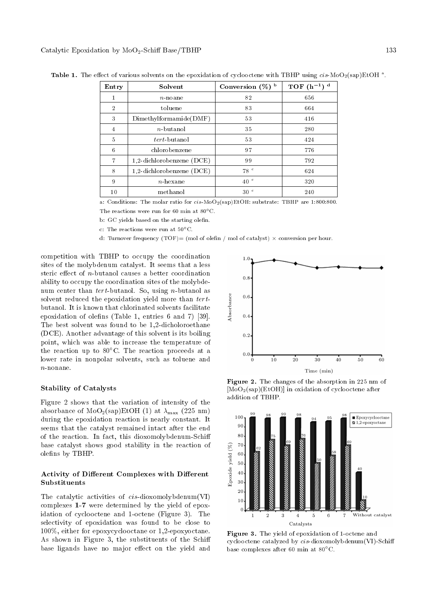| Entry          | Solvent                     | Conversion $(\%)$ <sup>b</sup> | TOF $(h^{-1})$ <sup>d</sup> |
|----------------|-----------------------------|--------------------------------|-----------------------------|
| 1              | $n$ noane                   | 82                             | 656                         |
| $\overline{2}$ | toluene                     | 83                             | 664                         |
| 3              | Dimethylformamide(DMF)      | 53                             | 416                         |
| $\overline{4}$ | $n$ -butanol                | 35                             | 280                         |
| 5              | <i>tert</i> -butanol        | 53                             | 424                         |
| 6              | chlorobenzene               | 97                             | 776                         |
| $\overline{7}$ | 1,2-dichlorobenzene $(DCE)$ | 99                             | 792                         |
| 8              | 1,2-dichlorobenzene (DCE)   | 78 <sup>°</sup>                | 624                         |
| 9              | $n$ -hexane                 | 40 <sup>°</sup>                | 320                         |
| 10             | methanol                    | 30 <sup>°</sup>                | 240                         |

Table 1. The effect of various solvents on the epoxidation of cyclooctene with TBHP using  $cis$  MoO<sub>2</sub>(sap)EtOH <sup>a</sup>.

a: Conditions: The molar ratio for  $cis-MoO_2(sap)EtOH$ : substrate: TBHP are 1:800:800.

The reactions were run for 60 min at  $80^{\circ}$ C.

b: GC yields based on the starting olefin.

c: The reactions were run at  $50^{\circ}$ C.

d: Turnover frequency  $(TOF)=(\text{mol of olefn } / \text{ mol of catalyst}) \times \text{conversion per hour.}$ 

competition with TBHP to occupy the coordination sites of the molybdenum catalyst. It seems that a less steric effect of  $n$ -butanol causes a better coordination ability to occupy the coordination sites of the molybdenum center than tert-butanol. So, using n-butanol as solvent reduced the epoxidation yield more than tertbutanol. It is known that chlorinated solvents facilitate epoxidation of olefins (Table 1, entries 6 and 7) [39]. The best solvent was found to be 1,2-dicholoroethane (DCE). Another advantage of this solvent is its boiling point, which was able to increase the temperature of the reaction up to  $80^{\circ}$ C. The reaction proceeds at a lower rate in nonpolar solvents, such as toluene and n-nonane.

# Stability of Catalysts

Figure 2 shows that the variation of intensity of the absorbance of  $MoO<sub>2</sub>(\text{sap})EtOH$  (1) at  $\lambda_{\text{max}}$  (225 nm) during the epoxidation reaction is nearly constant. It seems that the catalyst remained intact after the end of the reaction. In fact, this dioxomolybdenum-Schi base catalyst shows good stability in the reaction of olefins by TBHP.

## Activity of Different Complexes with Different Substituents

The catalytic activities of cis-dioxomolybdenum(VI) complexes 1-7 were determined by the yield of epoxidation of cyclooctene and 1-octene (Figure 3). The selectivity of epoxidation was found to be close to 100%, either for epoxycyclooctane or 1,2-epoxyoctane. As shown in Figure 3, the substituents of the Schi base ligands have no major effect on the yield and



Figure 2. The changes of the absorption in 225 nm of [MoO2(sap)(EtOH)] in oxidation of cyclooctene after addition of TBHP.



Figure 3. The yield of epoxidation of 1-octene and cyclooctene catalyzed by cis-dioxomolybdenum(VI)-Schi base complexes after 60 min at  $80^{\circ}$ C.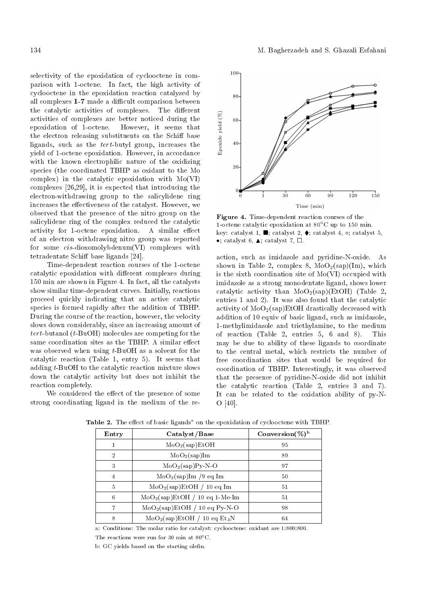selectivity of the epoxidation of cyclooctene in comparison with 1-octene. In fact, the high activity of cyclooctene in the epoxidation reaction catalyzed by all complexes 1-7 made a difficult comparison between the catalytic activities of complexes. The different activities of complexes are better noticed during the epoxidation of 1-octene. However, it seems that the electron releasing substituents on the Schiff base ligands, such as the tert-butyl group, increases the yield of 1-octene epoxidation. However, in accordance with the known electrophilic nature of the oxidizing species (the coordinated TBHP as oxidant to the Mo complex) in the catalytic epoxidation with Mo(VI) complexes [26,29], it is expected that introducing the electron-withdrawing group to the salicylidene ring increases the effectiveness of the catalyst. However, we observed that the presence of the nitro group on the salicylidene ring of the complex reduced the catalytic activity for 1-octene epoxidation. A similar effect of an electron withdrawing nitro group was reported for some cis-dioxomolybdenum(VI) complexes with tetradentate Schiff base ligands [24].

Time-dependent reaction courses of the 1-octene catalytic epoxidation with different complexes during 150 min are shown in Figure 4. In fact, all the catalysts show similar time-dependent curves. Initially, reactions proceed quickly indicating that an active catalytic species is formed rapidly after the addition of TBHP. During the course of the reaction, however, the velocity slows down considerably, since an increasing amount of tert-butanol (t-BuOH) molecules are competing for the same coordination sites as the TBHP. A similar effect was observed when using  $t$ -BuOH as a solvent for the catalytic reaction (Table 1, entry 5). It seems that adding t-BuOH to the catalytic reaction mixture slows down the catalytic activity but does not inhibit the reaction completely.

We considered the effect of the presence of some strong coordinating ligand in the medium of the re-



Figure 4. Time-dependent reaction courses of the 1-octene catalytic epoxidation at  $80^{\circ}{\rm C}$  up to 150 min. key: catalyst 1,  $\blacksquare$ ; catalyst 2,  $\blacklozenge$ ; catalyst 4, o; catalyst 5,  $\bullet$ ; catalyst 6,  $\blacktriangle$ ; catalyst 7,  $\square$ .

action, such as imidazole and pyridine-N-oxide. As shown in Table 2, complex 8,  $MoO<sub>2</sub>(\text{sap})(Im)$ , which is the sixth coordination site of Mo(VI) occupied with imidazole as a strong monodentate ligand, shows lower catalytic activity than  $MoO<sub>2</sub>(\text{sap})(EtOH)$  (Table 2, entries 1 and 2). It was also found that the catalytic activity of  $MoO<sub>2</sub>(sap)EtOH$  drastically decreased with addition of 10 equiv of basic ligand, such as imidazole, 1-methylimidazole and triethylamine, to the medium of reaction (Table 2, entries 5, 6 and 8). This may be due to ability of these ligands to coordinate to the central metal, which restricts the number of free coordination sites that would be required for coordination of TBHP. Interestingly, it was observed that the presence of pyridine-N-oxide did not inhibit the catalytic reaction (Table 2, entries 3 and 7). It can be related to the oxidation ability of py-N-O [40].

| Entry          | Catalyst/Base                         | Conversion $(\%)^b$ |
|----------------|---------------------------------------|---------------------|
| 1              | $MoO2(\text{sap})EtOH$                | 95                  |
| $\overline{2}$ | MoO <sub>2</sub> (sap)Im              | 89                  |
| 3              | $MoO2(\text{sap})Py-N-O$              | 97                  |
| 4              | $MoO2(\text{sap})Im /9$ eq Im         | 50                  |
| 5              | MoO <sub>2</sub> (sap)EtOH / 10 eq Im | 51                  |
| 6              | $MoO2(sap)EtOH / 10 eq 1-Me-Im$       | 51                  |
|                | $MoO2(\text{sap})EtOH / 10 eq Py-N-O$ | 98                  |
| 8              | $MoO2(\text{sap})EtOH / 10 eq Et3N$   | 64                  |

Table 2. The effect of basic ligands<sup>a</sup> on the epoxidation of cyclooctene with TBHP.

a: Conditions: The molar ratio for catalyst: cyclooctene: oxidant are 1:800:800.

The reactions were run for 30 min at 80°C.

b: GC yields based on the starting olefin.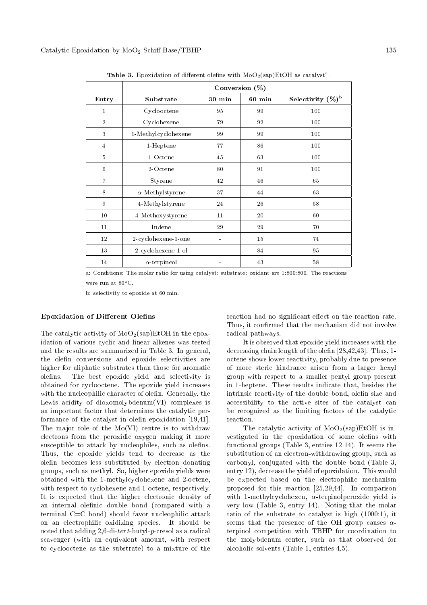|                |                         | Conversion $(\%)$ |          |                      |
|----------------|-------------------------|-------------------|----------|----------------------|
| Entry          | Substrate               | $30 \text{ min}$  | $60$ min | Selectivity $(\%)^b$ |
| $\bf{1}$       | Cyclooctene             | 95                | 99       | 100                  |
| $\overline{2}$ | Cyclohexene             | 79                | 92       | 100                  |
| 3              | 1-Methylcyclohexene     | 99                | 99       | 100                  |
| 4              | 1-Heptene               | 77                | 86       | 100                  |
| 5              | $1-Octene$              | 45                | 63       | 100                  |
| 6              | 2-Octene                | 80                | 91       | 100                  |
| $\overline{7}$ | Styrene                 | 42                | 46       | 65                   |
| 8              | $\alpha$ -Methylstyrene | 37                | 44       | 63                   |
| 9              | 4-Methylstyrene         | 24                | 26       | 58                   |
| 10             | 4-Methoxystyrene        | 11                | 20       | 60                   |
| 11             | Indene                  | 29                | 29       | 70                   |
| 12             | 2-cyclohexene-1-one     |                   | 15       | 74                   |
| 13             | 2-cyclohexene-1-ol      | $\blacksquare$    | 84       | 95                   |
| 14             | $\alpha$ -terpineol     |                   | 43       | 58                   |

**Table 3.** Epoxidation of different olefins with  $\text{MoO}_2(\text{sap})\text{EtOH}$  as catalyst<sup>a</sup>.

a: Conditions: The molar ratio for using catalyst: substrate: oxidant are 1:800:800. The reactions were run at  $80^{\circ}$ C.

b: selectivity to epoxide at 60 min.

### Epoxidation of Different Olefins

The catalytic activity of  $MoO<sub>2</sub>(\text{sap})E<sub>t</sub>OH$  in the epoxidation of various cyclic and linear alkenes was tested and the results are summarized in Table 3. In general, the olen conversions and epoxide selectivities are higher for aliphatic substrates than those for aromatic olefins. The best epoxide yield and selectivity is obtained for cyclooctene. The epoxide yield increases with the nucleophilic character of olefin. Generally, the Lewis acidity of dioxomolybdenum(VI) complexes is an important factor that determines the catalytic performance of the catalyst in olefin epoxidation [19,41]. The major role of the Mo(VI) centre is to withdraw electrons from the peroxidic oxygen making it more susceptible to attack by nucleophiles, such as olefins. Thus, the epoxide yields tend to decrease as the olen becomes less substituted by electron donating groups, such as methyl. So, higher epoxide yields were obtained with the 1-methylcyclohexene and 2-octene, with respect to cyclohexene and 1-octene, respectively. It is expected that the higher electronic density of an internal olefinic double bond (compared with a terminal C=C bond) should favor nucleophilic attack on an electrophilic oxidizing species. It should be noted that adding 2,6-di-tert-butyl-p-cresol as a radical scavenger (with an equivalent amount, with respect to cyclooctene as the substrate) to a mixture of the

reaction had no significant effect on the reaction rate. Thus, it confirmed that the mechanism did not involve radical pathways.

It is observed that epoxide yield increases with the decreasing chain length of the olefin [28,42,43]. Thus, 1octene shows lower reactivity, probably due to presence of more steric hindrance arisen from a larger hexyl group with respect to a smaller pentyl group present in 1-heptene. These results indicate that, besides the intrinsic reactivity of the double bond, olefin size and accessibility to the active sites of the catalyst can be recognized as the limiting factors of the catalytic reaction.

The catalytic activity of  $MoO<sub>2</sub>(\text{sap})E<sub>t</sub>OH$  is investigated in the epoxidation of some olefins with functional groups (Table 3, entries 12-14). It seems the substitution of an electron-withdrawing group, such as carbonyl, conjugated with the double bond (Table 3, entry 12), decrease the yield of epoxidation. This would be expected based on the electrophilic mechanism proposed for this reaction [25,29,44]. In comparison with 1-methylcyclohexen,  $\alpha$ -terpinolperoxide yield is very low (Table 3, entry 14). Noting that the molar ratio of the substrate to catalyst is high (1000:1), it seems that the presence of the OH group causes  $\alpha$ terpinol competition with TBHP for coordination to the molybdenum center, such as that observed for alcoholic solvents (Table 1, entries 4,5).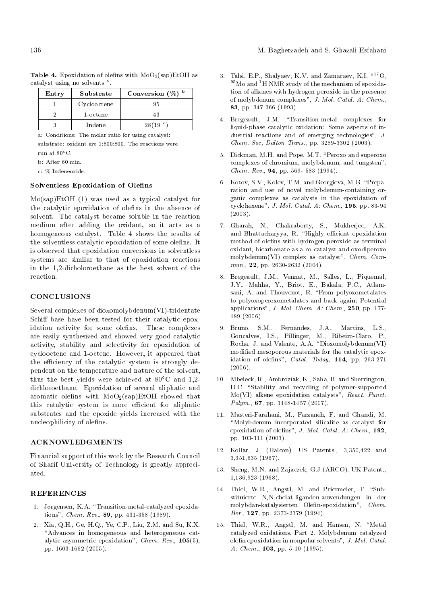| Entry | Substrate   | Conversion $(\%)$ <sup>b</sup> |
|-------|-------------|--------------------------------|
|       | Cyclooctene | 95                             |
|       | 1-octene    | 43                             |
|       | Indene      | 28(19 <sup>°</sup> )           |

Table 4. Epoxidation of olefins with  $MoO<sub>2</sub>(\text{sap})E<sub>t</sub>OH$  as catalyst using no solvents<sup>a</sup>.

a: Conditions: The molar ratio for using catalyst: substrate: oxidant are 1:800:800. The reactions were run at  $80^{\circ}$ C.

b: After 60 min.

c: % Indeneoxide.

## Solventless Epoxidation of Olefins

Mo(sap)EtOH (1) was used as a typical catalyst for the catalytic epoxidation of olens in the absence of solvent. The catalyst became soluble in the reaction medium after adding the oxidant, so it acts as a homogeneous catalyst. Table 4 shows the results of the solventless catalytic epoxidation of some olefins. It is observed that epoxidation conversions in solventless systems are similar to that of epoxidation reactions in the 1,2-dicholoroethane as the best solvent of the reaction.

## **CONCLUSIONS**

Several complexes of dioxomolybdenum(VI)-tridentate Schiff base have been tested for their catalytic epoxidation activity for some olefins. These complexes are easily synthesized and showed very good catalytic activity, stability and selectivity for epoxidation of cyclooctene and 1-octene. However, it appeared that the efficiency of the catalytic system is strongly dependent on the temperature and nature of the solvent, thus the best yields were achieved at  $80^{\circ}$ C and 1,2dichloroethane. Epoxidation of several aliphatic and aromatic olefins with  $MoO<sub>2</sub>(\text{sap})EtOH$  showed that this catalytic system is more efficient for aliphatic substrates and the epoxide yields increased with the nucleophilicity of olefins.

#### ACKNOWLEDGMENTS

Financial support of this work by the Research Council of Sharif University of Technology is greatly appreciated.

## **REFERENCES**

- 1. Jørgensen, K.A. "Transition-metal-catalyzed epoxidations", Chem. Rev., 89, pp. 431-358 (1989).
- 2. Xia, Q.H., Ge, H.Q., Ye, C.P., Liu, Z.M. and Su, K.X. "Advances in homogeneous and heterogeneous catalytic asymmetric epoxidation", Chem. Rev., 105(5), pp. 1603-1662 (2005).
- 3. Talsi, E.P., Shalyaev, K.V. and Zamaraev, K.I.  $17^2$ O.  $^{95}\rm{Mo}$  and  $^{1}\rm{H}$  NMR study of the mechanism of epoxidation of alkenes with hydrogen peroxide in the presence of molybdenum complexes", J. Mol. Catal. A: Chem., 83, pp. 347-366 (1993).
- 4. Bregeault, J.M. "Transition-metal complexes for liquid-phase catalytic oxidation: Some aspects of industrial reactions and of emerging technologies", J. Chem. Soc, Dalton Trans., pp. 3289-3302 (2003).
- 5. Dickman, M.H. and Pope, M.T. \Peroxo and superoxo complexes of chromium, molybdenum, and tungsten", Chem. Rev., 94, pp. 569- 583 (1994).
- 6. Kotov, S.V., Kolev, T.M. and Georgieva, M.G. \Preparation and use of novel molybdenum-containing organic complexes as catalysts in the epoxidation of cyclohexene", J. Mol. Catal. A: Chem., 195, pp. 83-94 (2003).
- 7. Gharah, N., Chakraborty, S., Mukherjee, A.K. and Bhattacharyya, R. "Highly efficient epoxidation method of olefins with hydrogen peroxide as terminal oxidant, bicarbonate as a co-catalyst and oxodiperoxo molybdenum(VI) complex as catalyst", Chem. Commun., 22, pp. 2630-2632 (2004).
- 8. Bregeault, J.M., Vennat, M., Salles, L., Piquemal, J.Y., Mahha, Y., Briot, E., Bakala, P.C., Atlamsani, A. and Thouvenot, R. "From polyoxometalates to polyoxoperoxometalates and back again; Potential applications", J. Mol. Chem. A: Chem., 250, pp. 177- 189 (2006).
- 9. Bruno, S.M., Fernandes, J.A., Martins, L.S., Goncalves, I.S., Pillinger, M., Ribeiro-Claro, P., Rocha, J. and Valente, A.A. "Dioxomolybdenum $(VI)$ modied mesoporous materials for the catalytic epoxidation of olefins", Catal. Today,  $114$ , pp. 263-271 (2006).
- 10. Mbeleck, R., Ambroziak, K., Saha, B. and Sherrington, D.C. "Stability and recycling of polymer-supported Mo(VI) alkene epoxidation catalysts", React. Funct.  $Polym.$ , 67, pp. 1448-1457 (2007).
- 11. Masteri-Farahani, M., Farzaneh, F. and Ghandi, M. \Molybdenum incorporated silicalite as catalyst for epoxidation of olefins", J. Mol. Catal. A: Chem., 192, pp. 103-111 (2003).
- 12. Kollar, J. (Halcon). US Patents., 3,350,422 and 3,351,635 (1967).
- 13. Sheng, M.N. and Zajaczek, G.J (ARCO). UK Patent., 1,136,923 (1968).
- 14. Thiel, W.R., Angstl, M. and Priermeier, T. "Substituierte N,N-chelat-liganden-anwendungen in der molybdan-katalysierten Olen-epoxidation", Chem. Ber., 127, pp. 2373-2379 (1994).
- 15. Thiel, W.R., Angstl, M. and Hansen, N. "Metal catalyzed oxidations. Part 2. Molybdenum catalyzed olen epoxidation in nonpolar solvents", J. Mol. Catal. A: Chem.,  $103$ , pp. 5-10 (1995).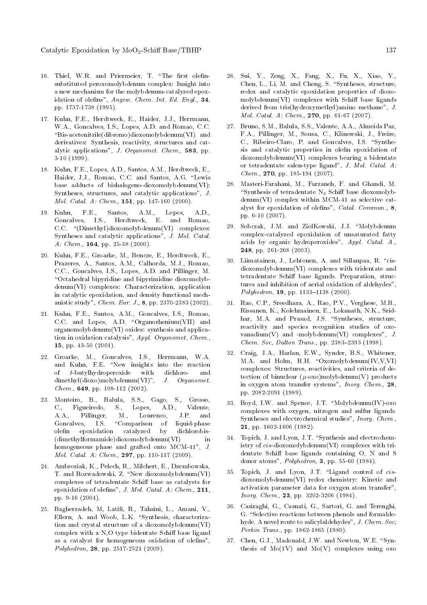- 16. Thiel, W.R. and Priermeier, T. "The first olefinsubstituted peroxomolybdenum complex: Insight into a new mechanism for the molybdenum-catalyzed epoxidation of olefins", Angew. Chem. Int. Ed. Engl., 34, pp. 1737-1738 (1995).
- 17. Kuhn, F.E., Herdtweck, E., Haider, J.J., Herrmann, W.A., Goncalves, I.S., Lopes, A.D. and Romao, C.C. "Bis-acetonitrile(dibromo)dioxomolybdenum(VI) and derivatives: Synthesis, reactivity, structures and catalytic applications", J. Organomet. Chem., 583, pp. 3-10 (1999).
- 18. Kuhn, F.E., Lopes, A.D., Santos, A.M., Herdtweck, E., Haider, J.J., Romao, C.C. and Santos, A.G. "Lewis base adducts of bishalogeno-dioxomolybdenum(VI): Syntheses, structures, and catalytic applications", J. Mol. Catal. A: Chem., 151, pp. 147-160 (2000).
- 19. Kuhn, F.E., Santos, A.M., Lopes, A.D., Goncalves, I.S., Herdtweck, E. and Romao, C.C. "(Dimethyl)dioxomolybdenum(VI) complexes: Syntheses and catalytic applications", J. Mol. Catal. A: Chem., **164**, pp. 25-38 (2000).
- 20. Kuhn, F.E., Groarke, M., Bencze, E., Herdtweck, E., Prazeres, A., Santos, A.M., Calhorda, M.J., Romao, C.C., Goncalves, I.S., Lopes, A.D. and Pillinger, M. \Octahedral bipyridine and bipyrimidine dioxomolybdenum(VI) complexes: Characterization, application in catalytic epoxidation, and density functional mechanistic study", Chem. Eur. J., 8, pp. 2370-2383 (2002).
- 21. Kuhn, F.E., Santos, A.M., Goncalves, I.S., Romao, C.C. and Lopes, A.D. "Organorhenium(VII) and organomolybdenum(VI) oxides: synthesis and application in oxidation catalysis", Appl. Organomet. Chem., 15, pp. 43-50 (2001).
- 22. Groarke, M., Goncalves, I.S., Herrmann, W.A. and Kuhn, F.E. "New insights into the reaction of t-butylhydroperoxide with dichloro- and dimethyl(dioxo)molybdenum(VI)", J. Organomet.  $Chem.$ , 649, pp. 108-112 (2002).
- 23. Monteiro, B., Balula, S.S., Gago, S., Grosso, C., Figueiredo, S., Lopes, A.D., Valente, A.A., Pillinger, M., Lourenco, J.P. and Goncalves, I.S. "Comparison of liquid-phase olen epoxidation catalyzed by dichlorobis- (dimethylformamide)dioxomolybdenum(VI) in homogeneous phase and grafted onto MCM-41", J. Mol. Catal. A: Chem., 297, pp. 110-117 (2009).
- 24. Ambroziak, K., Pelech, R., Milchert, E., Dzembowska, T. and Rozwadowski, Z. "New dioxomolybdenum(VI) complexes of tetradentate Schiff base as catalysts for epoxidation of olefins", J. Mol. Catal. A: Chem., 211, pp. 9-16 (2004).
- 25. Bagherzadeh, M, Latifi, R., Tahsini, L., Amani, V., Ellern, A. and Woob, L.K. "Synthesis, characterization and crystal structure of a dioxomolybdenum(VI) complex with a N,O type bidentate Schiff base ligand as a catalyst for homogeneous oxidation of olefins", Polyhedron, 28, pp. 2517-2521 (2009).
- 26. Sui, Y., Zeng, X., Fang, X., Fu, X., Xiao, Y., Chen, L., Li, M. and Cheng, S. "Syntheses, structure, redox and catalytic epoxidation properties of dioxo $molybdenum(VI)$  complexes with Schiff base ligands derived from tris(hydroxymethyl)amino methane", J. Mol. Catal. A: Chem., 270, pp. 61-67 (2007).
- 27. Bruno, S.M., Balula, S.S., Valente, A.A., Almeida Paz, F.A., Pillinger, M., Sousa, C., Klinowski, J., Freire, C., Ribeiro-Claro, P. and Goncalves, I.S. "Synthesis and catalytic properties in olen epoxidation of dioxomolybdenum(VI) complexes bearing a bidentate or tetradentate salen-type ligand", J. Mol. Catal. A: Chem., 270, pp. 185-194 (2007).
- 28. Masteri-Farahani, M., Farzaneh, F. and Ghandi, M. "Synthesis of tetradentate  $N_4$  Schiff base dioxomolybdenum(VI) complex within MCM-41 as selective catalyst for epoxidation of olefins",  $Catal.$   $Commun.,$   $8,$ pp. 6-10 (2007).
- 29. Sobczak, J.M. and ZiolKowski, J.J. "Molybdenum complex-catalyzed epoxidation of unsaturated fatty acids by organic hydroperoxides", Appl. Catal. A., 248, pp. 261-268 (2003).
- 30. Liimatainen, J., Lehtonen, A. and Sillanpaa, R. "cisdioxomolybdenum(VI) complexes with tridentate and tetradentate Schiff base ligands. Preparation, structures and inhibition of aerial oxidation of aldehydes",  $Polyhedron, 19, pp. 1133–1138 (2000).$
- 31. Rao, C.P., Sreedhara, A., Rao, P.V., Verghese, M.B., Rissanen, K., Kolehmainen, E., Lokanath, N.K., Sridhar, M.A. and Prasad, J.S. "Syntheses, structure, reactivity and species recognition studies of oxovanadium $(V)$  and -molybdenum $(VI)$  complexes", J.  $Chem. Soc. Dalton Trans.$ , pp. 2383-2393 (1998).
- 32. Craig, J.A., Harlan, E.W., Synder, B.S., Whitener, M.A. and Holm, R.H. "Oxomolybdenum(IV,V,VI) complexes: Structures, reactivities, and criteria of detection of binuclear  $(\mu\text{-oxo})$ molybdenum $(V)$  products in oxygen atom transfer systems", Inorg. Chem., 28, pp. 2082-2091 (1989).
- 33. Boyd, I.W. and Spence, J.T. \Molybdenum(IV)-oxo complexes with oxygen, nitrogen and sulfur ligands. Syntheses and electrochemical studies", Inorg. Chem., 21, pp. 1602-1606 (1982).
- 34. Topich, J. and Lyon, J.T. "Synthesis and electrochemistry of cis-dioxomolybdenum(VI) complexes with tridentate Schiff base ligands containing O, N and S donor atoms", Polyhedron, 3, pp. 55-60 (1984).
- 35. Topich, J. and Lyon, J.T. "Ligand control of cisdioxomolybdenum(VI) redox chemistry: Kinetic and activation parameter data for oxygen atom transfer", Inorg. Chem., 23, pp. 3202-3206 (1984).
- 36. Casiraghi, G., Casnati, G., Sartori, G. and Terenghi, G. "Selective reactions between phenols and formaldehyde. A novel route to salicylaldehydes", J. Chem. Soc; Perkin Trans., pp. 1862-1865 (1980).
- 37. Chen, G.J., Madonald, J.W. and Newton, W.E. "Synthesis of  $Mo(1V)$  and  $Mo(V)$  complexes using  $oxo$